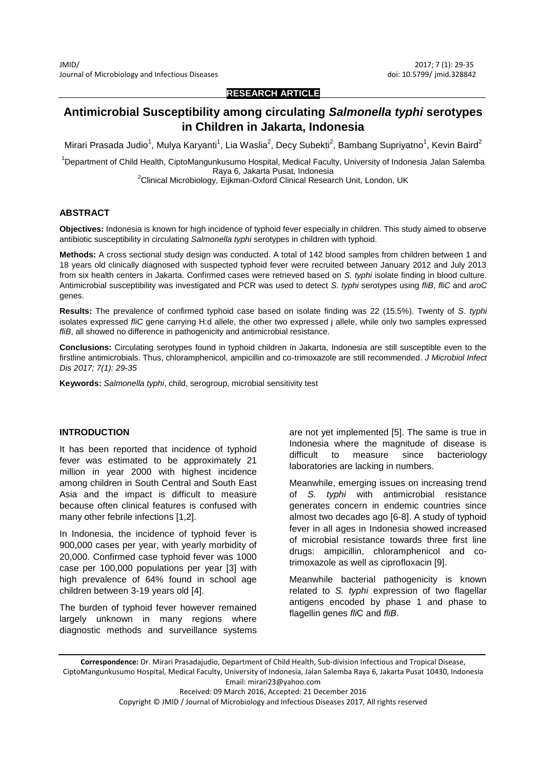### **RESEARCH ARTICLE**

# **Antimicrobial Susceptibility among circulating** *Salmonella typhi* **serotypes in Children in Jakarta, Indonesia**

Mirari Prasada Judio $^1$ , Mulya Karyanti $^1$ , Lia Waslia $^2$ , Decy Subekti $^2$ , Bambang Supriyatno $^1$ , Kevin Baird $^2$ 

<sup>1</sup>Department of Child Health, CiptoMangunkusumo Hospital, Medical Faculty, University of Indonesia Jalan Salemba Raya 6, Jakarta Pusat, Indonesia

<sup>2</sup>Clinical Microbiology, Eijkman-Oxford Clinical Research Unit, London, UK

### **ABSTRACT**

**Objectives:** Indonesia is known for high incidence of typhoid fever especially in children. This study aimed to observe antibiotic susceptibility in circulating *Salmonella typhi* serotypes in children with typhoid.

**Methods:** A cross sectional study design was conducted. A total of 142 blood samples from children between 1 and 18 years old clinically diagnosed with suspected typhoid fever were recruited between January 2012 and July 2013 from six health centers in Jakarta. Confirmed cases were retrieved based on *S. typhi* isolate finding in blood culture. Antimicrobial susceptibility was investigated and PCR was used to detect *S. typhi* serotypes using *fliB*, *fliC* and *aroC* genes.

**Results:** The prevalence of confirmed typhoid case based on isolate finding was 22 (15.5%). Twenty of *S. typhi* isolates expressed *fliC* gene carrying H:d allele, the other two expressed j allele, while only two samples expressed *fliB*, all showed no difference in pathogenicity and antimicrobial resistance.

**Conclusions:** Circulating serotypes found in typhoid children in Jakarta, Indonesia are still susceptible even to the firstline antimicrobials. Thus, chloramphenicol, ampicillin and co-trimoxazole are still recommended. *J Microbiol Infect Dis 2017; 7(1): 29-35*

**Keywords:** *Salmonella typhi*, child, serogroup, microbial sensitivity test

#### **INTRODUCTION**

It has been reported that incidence of typhoid fever was estimated to be approximately 21 million in year 2000 with highest incidence among children in South Central and South East Asia and the impact is difficult to measure because often clinical features is confused with many other febrile infections [1,2].

In Indonesia, the incidence of typhoid fever is 900,000 cases per year, with yearly morbidity of 20,000. Confirmed case typhoid fever was 1000 case per 100,000 populations per year [3] with high prevalence of 64% found in school age children between 3-19 years old [4].

The burden of typhoid fever however remained largely unknown in many regions where diagnostic methods and surveillance systems are not yet implemented [5]. The same is true in Indonesia where the magnitude of disease is difficult to measure since bacteriology laboratories are lacking in numbers.

Meanwhile, emerging issues on increasing trend S. typhi with antimicrobial resistance generates concern in endemic countries since almost two decades ago [6-8]. A study of typhoid fever in all ages in Indonesia showed increased of microbial resistance towards three first line drugs: ampicillin, chloramphenicol and cotrimoxazole as well as ciprofloxacin [9].

Meanwhile bacterial pathogenicity is known related to *S. typhi* expression of two flagellar antigens encoded by phase 1 and phase to flagellin genes *fli*C and *fliB*.

Copyright © JMID / Journal of Microbiology and Infectious Diseases 2017, All rights reserved

**Correspondence:** Dr. Mirari Prasadajudio, Department of Child Health, Sub-division Infectious and Tropical Disease, CiptoMangunkusumo Hospital, Medical Faculty, University of Indonesia, Jalan Salemba Raya 6, Jakarta Pusat 10430, Indonesia Email: mirari23@yahoo.com Received: 09 March 2016, Accepted: 21 December 2016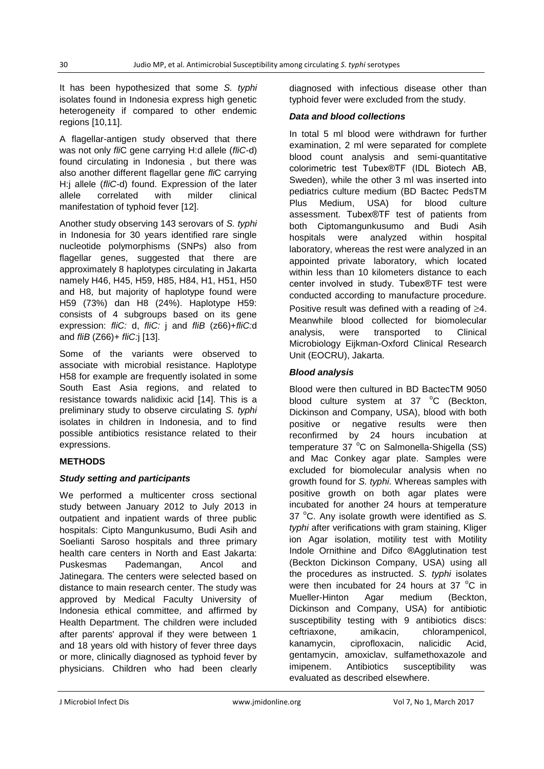It has been hypothesized that some *S. typhi* isolates found in Indonesia express high genetic heterogeneity if compared to other endemic regions [10,11].

A flagellar-antigen study observed that there was not only *fli*C gene carrying H:d allele (*fliC-*d) found circulating in Indonesia , but there was also another different flagellar gene *fli*C carrying H:j allele (*fliC-*d) found. Expression of the later allele correlated with milder clinical manifestation of typhoid fever [12].

Another study observing 143 serovars of *S. typhi* in Indonesia for 30 years identified rare single nucleotide polymorphisms (SNPs) also from flagellar genes, suggested that there are approximately 8 haplotypes circulating in Jakarta namely H46, H45, H59, H85, H84, H1, H51, H50 and H8, but majority of haplotype found were H59 (73%) dan H8 (24%). Haplotype H59: consists of 4 subgroups based on its gene expression: *fliC:* d, *fliC:* j and *fliB* (z66)+*fliC:*d and *fliB* (Z66)+ *fliC:*j [13].

Some of the variants were observed to associate with microbial resistance. Haplotype H58 for example are frequently isolated in some South East Asia regions, and related to resistance towards nalidixic acid [14]. This is a preliminary study to observe circulating *S. typhi* isolates in children in Indonesia, and to find possible antibiotics resistance related to their expressions.

## **METHODS**

## *Study setting and participants*

We performed a multicenter cross sectional study between January 2012 to July 2013 in outpatient and inpatient wards of three public hospitals: Cipto Mangunkusumo, Budi Asih and Soelianti Saroso hospitals and three primary health care centers in North and East Jakarta: Puskesmas Pademangan, Ancol and Jatinegara. The centers were selected based on distance to main research center. The study was approved by Medical Faculty University of Indonesia ethical committee, and affirmed by Health Department. The children were included after parents' approval if they were between 1 and 18 years old with history of fever three days or more, clinically diagnosed as typhoid fever by physicians. Children who had been clearly diagnosed with infectious disease other than typhoid fever were excluded from the study.

### *Data and blood collections*

In total 5 ml blood were withdrawn for further examination, 2 ml were separated for complete blood count analysis and semi-quantitative colorimetric test Tubex®TF (IDL Biotech AB, Sweden), while the other 3 ml was inserted into pediatrics culture medium (BD Bactec PedsTM Plus Medium, USA) for blood culture assessment. Tubex®TF test of patients from both Ciptomangunkusumo and Budi Asih hospitals were analyzed within hospital laboratory, whereas the rest were analyzed in an appointed private laboratory, which located within less than 10 kilometers distance to each center involved in study. Tubex®TF test were conducted according to manufacture procedure. Positive result was defined with a reading of  $\geq 4$ . Meanwhile blood collected for biomolecular analysis, were transported to Clinical Microbiology Eijkman-Oxford Clinical Research Unit (EOCRU), Jakarta.

## *Blood analysis*

Blood were then cultured in BD BactecTM 9050 blood culture system at  $37 °C$  (Beckton, Dickinson and Company, USA), blood with both positive or negative results were then reconfirmed by 24 hours incubation at temperature 37 °C on Salmonella-Shigella (SS) and Mac Conkey agar plate. Samples were excluded for biomolecular analysis when no growth found for *S. typhi*. Whereas samples with positive growth on both agar plates were incubated for another 24 hours at temperature 37 °C. Any isolate growth were identified as S. *typhi* after verifications with gram staining, Kliger ion Agar isolation, motility test with Motility Indole Ornithine and Difco ®Agglutination test (Beckton Dickinson Company, USA) using all the procedures as instructed. *S. typhi* isolates were then incubated for 24 hours at 37 $\degree$ C in Mueller-Hinton Agar medium (Beckton, Dickinson and Company, USA) for antibiotic susceptibility testing with 9 antibiotics discs: ceftriaxone, amikacin, chlorampenicol, kanamycin, ciprofloxacin, nalicidic Acid, gentamycin, amoxiclav, sulfamethoxazole and imipenem. Antibiotics susceptibility was evaluated as described elsewhere.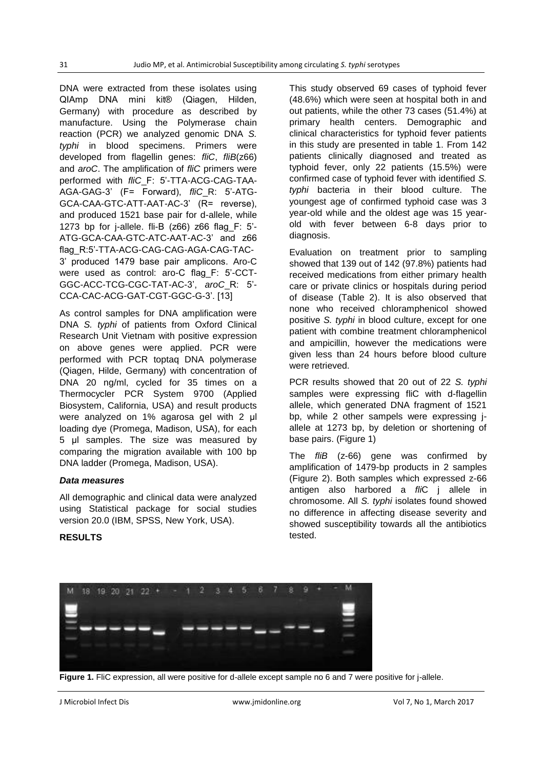DNA were extracted from these isolates using QIAmp DNA mini kit® (Qiagen, Hilden, Germany) with procedure as described by manufacture. Using the Polymerase chain reaction (PCR) we analyzed genomic DNA *S. typhi* in blood specimens. Primers were developed from flagellin genes: *fliC*, *fliB*(z66) and *aroC*. The amplification of *fliC* primers were performed with *fliC*\_F: 5'-TTA-ACG-CAG-TAA-AGA-GAG-3' (F= Forward), *fliC*\_R: 5'-ATG-GCA-CAA-GTC-ATT-AAT-AC-3' (R= reverse), and produced 1521 base pair for d-allele, while 1273 bp for j-allele. fli-B (z66) z66 flag\_F: 5'- ATG-GCA-CAA-GTC-ATC-AAT-AC-3' and z66 flag\_R:5'-TTA-ACG-CAG-CAG-AGA-CAG-TAC-3' produced 1479 base pair amplicons. Aro-C were used as control: aro-C flag\_F: 5'-CCT-GGC-ACC-TCG-CGC-TAT-AC-3', *aroC*\_R: 5'- CCA-CAC-ACG-GAT-CGT-GGC-G-3'. [13]

As control samples for DNA amplification were DNA *S. typhi* of patients from Oxford Clinical Research Unit Vietnam with positive expression on above genes were applied. PCR were performed with PCR toptaq DNA polymerase (Qiagen, Hilde, Germany) with concentration of DNA 20 ng/ml, cycled for 35 times on a Thermocycler PCR System 9700 (Applied Biosystem, California, USA) and result products were analyzed on 1% agarosa gel with 2  $\mu$ l loading dye (Promega, Madison, USA), for each 5 µl samples. The size was measured by comparing the migration available with 100 bp DNA ladder (Promega, Madison, USA).

### *Data measures*

**RESULTS**

All demographic and clinical data were analyzed using Statistical package for social studies version 20.0 (IBM, SPSS, New York, USA).

This study observed 69 cases of typhoid fever (48.6%) which were seen at hospital both in and out patients, while the other 73 cases (51.4%) at primary health centers. Demographic and clinical characteristics for typhoid fever patients in this study are presented in table 1. From 142 patients clinically diagnosed and treated as typhoid fever, only 22 patients (15.5%) were confirmed case of typhoid fever with identified *S. typhi* bacteria in their blood culture. The youngest age of confirmed typhoid case was 3 year-old while and the oldest age was 15 yearold with fever between 6-8 days prior to diagnosis.

Evaluation on treatment prior to sampling showed that 139 out of 142 (97.8%) patients had received medications from either primary health care or private clinics or hospitals during period of disease (Table 2). It is also observed that none who received chloramphenicol showed positive *S. typhi* in blood culture, except for one patient with combine treatment chloramphenicol and ampicillin, however the medications were given less than 24 hours before blood culture were retrieved.

PCR results showed that 20 out of 22 *S. typhi* samples were expressing fliC with d-flagellin allele, which generated DNA fragment of 1521 bp, while 2 other sampels were expressing jallele at 1273 bp, by deletion or shortening of base pairs. (Figure 1)

The *fliB* (z-66) gene was confirmed by amplification of 1479-bp products in 2 samples (Figure 2). Both samples which expressed z-66 antigen also harbored a *fli*C j allele in chromosome. All *S. typhi* isolates found showed no difference in affecting disease severity and showed susceptibility towards all the antibiotics tested.



**Figure 1.** FliC expression, all were positive for d-allele except sample no 6 and 7 were positive for j-allele.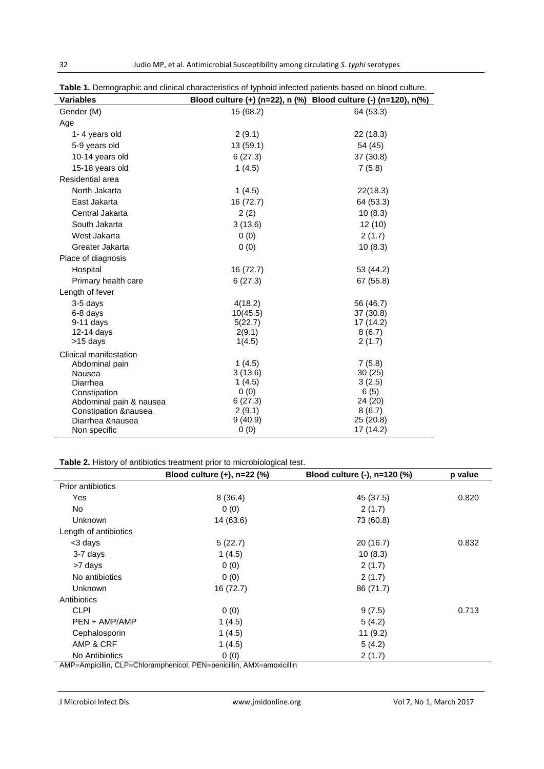| <b>Variables</b>        |           | Blood culture (+) (n=22), n (%) Blood culture (-) (n=120), n(%) |
|-------------------------|-----------|-----------------------------------------------------------------|
| Gender (M)              | 15 (68.2) | 64 (53.3)                                                       |
| Age                     |           |                                                                 |
| 1-4 years old           | 2(9.1)    | 22 (18.3)                                                       |
| 5-9 years old           | 13 (59.1) | 54 (45)                                                         |
| 10-14 years old         | 6(27.3)   | 37 (30.8)                                                       |
| 15-18 years old         | 1(4.5)    | 7(5.8)                                                          |
| Residential area        |           |                                                                 |
| North Jakarta           | 1(4.5)    | 22(18.3)                                                        |
| East Jakarta            | 16 (72.7) | 64 (53.3)                                                       |
| Central Jakarta         | 2(2)      | 10(8.3)                                                         |
| South Jakarta           | 3(13.6)   | 12(10)                                                          |
| West Jakarta            | 0(0)      | 2(1.7)                                                          |
| Greater Jakarta         | 0(0)      | 10(8.3)                                                         |
| Place of diagnosis      |           |                                                                 |
| Hospital                | 16 (72.7) | 53 (44.2)                                                       |
| Primary health care     | 6(27.3)   | 67 (55.8)                                                       |
| Length of fever         |           |                                                                 |
| 3-5 days                | 4(18.2)   | 56 (46.7)                                                       |
| 6-8 days                | 10(45.5)  | 37 (30.8)                                                       |
| 9-11 days               | 5(22.7)   | 17 (14.2)                                                       |
| $12-14$ days            | 2(9.1)    | 8(6.7)                                                          |
| >15 days                | 1(4.5)    | 2(1.7)                                                          |
| Clinical manifestation  |           |                                                                 |
| Abdominal pain          | 1(4.5)    | 7(5.8)                                                          |
| Nausea                  | 3(13.6)   | 30(25)                                                          |
| Diarrhea                | 1(4.5)    | 3(2.5)                                                          |
| Constipation            | 0(0)      | 6(5)                                                            |
| Abdominal pain & nausea | 6(27.3)   | 24 (20)                                                         |
| Constipation & nausea   | 2(9.1)    | 8(6.7)                                                          |
| Diarrhea &nausea        | 9(40.9)   | 25 (20.8)                                                       |
| Non specific            | 0(0)      | 17 (14.2)                                                       |

**Table 1.** Demographic and clinical characteristics of typhoid infected patients based on blood culture.

### **Table 2.** History of antibiotics treatment prior to microbiological test.

|                          | Blood culture $(+)$ , n=22 $(\%)$                                                       | Blood culture (-), n=120 (%) | p value |
|--------------------------|-----------------------------------------------------------------------------------------|------------------------------|---------|
| <b>Prior antibiotics</b> |                                                                                         |                              |         |
| Yes                      | 8(36.4)                                                                                 | 45 (37.5)                    | 0.820   |
| No.                      | 0(0)                                                                                    | 2(1.7)                       |         |
| <b>Unknown</b>           | 14 (63.6)                                                                               | 73 (60.8)                    |         |
| Length of antibiotics    |                                                                                         |                              |         |
| <3 days                  | 5(22.7)                                                                                 | 20 (16.7)                    | 0.832   |
| 3-7 days                 | 1(4.5)                                                                                  | 10(8.3)                      |         |
| >7 days                  | 0(0)                                                                                    | 2(1.7)                       |         |
| No antibiotics           | 0(0)                                                                                    | 2(1.7)                       |         |
| <b>Unknown</b>           | 16 (72.7)                                                                               | 86 (71.7)                    |         |
| Antibiotics              |                                                                                         |                              |         |
| <b>CLPI</b>              | 0(0)                                                                                    | 9(7.5)                       | 0.713   |
| PEN + AMP/AMP            | 1(4.5)                                                                                  | 5(4.2)                       |         |
| Cephalosporin            | 1(4.5)                                                                                  | 11(9.2)                      |         |
| AMP & CRF                | 1(4.5)                                                                                  | 5(4.2)                       |         |
| No Antibiotics           | 0(0)<br>AMD Approximatelling OLD Oktober provided DEAL monitorities. AMAY approximation | 2(1.7)                       |         |

AMP=Ampicillin, CLP=Chloramphenicol, PEN=penicillin, AMX=amoxicillin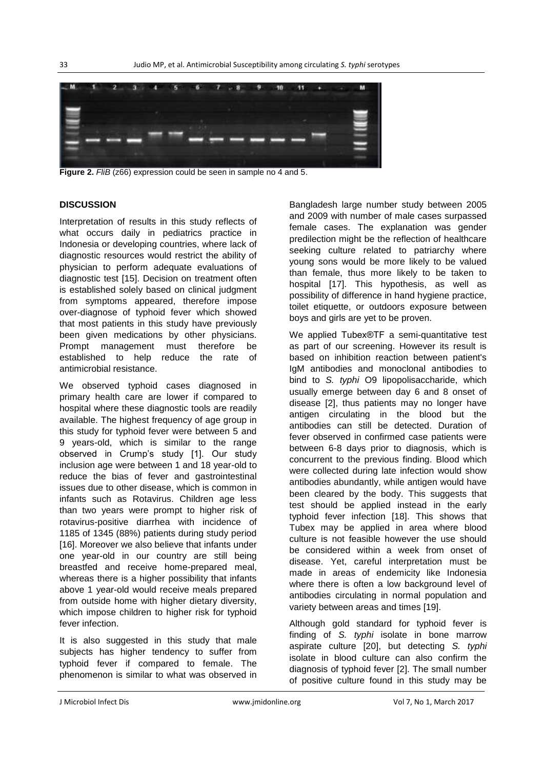

**Figure 2.** *FliB* (z66) expression could be seen in sample no 4 and 5.

### **DISCUSSION**

Interpretation of results in this study reflects of what occurs daily in pediatrics practice in Indonesia or developing countries, where lack of diagnostic resources would restrict the ability of physician to perform adequate evaluations of diagnostic test [15]. Decision on treatment often is established solely based on clinical judgment from symptoms appeared, therefore impose over-diagnose of typhoid fever which showed that most patients in this study have previously been given medications by other physicians. Prompt management must therefore be established to help reduce the rate of antimicrobial resistance.

We observed typhoid cases diagnosed in primary health care are lower if compared to hospital where these diagnostic tools are readily available. The highest frequency of age group in this study for typhoid fever were between 5 and 9 years-old, which is similar to the range observed in Crump's study [1]. Our study inclusion age were between 1 and 18 year-old to reduce the bias of fever and gastrointestinal issues due to other disease, which is common in infants such as Rotavirus. Children age less than two years were prompt to higher risk of rotavirus-positive diarrhea with incidence of 1185 of 1345 (88%) patients during study period [16]. Moreover we also believe that infants under one year-old in our country are still being breastfed and receive home-prepared meal, whereas there is a higher possibility that infants above 1 year-old would receive meals prepared from outside home with higher dietary diversity, which impose children to higher risk for typhoid fever infection.

It is also suggested in this study that male subjects has higher tendency to suffer from typhoid fever if compared to female. The phenomenon is similar to what was observed in

Bangladesh large number study between 2005 and 2009 with number of male cases surpassed female cases. The explanation was gender predilection might be the reflection of healthcare seeking culture related to patriarchy where young sons would be more likely to be valued than female, thus more likely to be taken to hospital [17]. This hypothesis, as well as possibility of difference in hand hygiene practice, toilet etiquette, or outdoors exposure between boys and girls are yet to be proven.

We applied Tubex®TF a semi-quantitative test as part of our screening. However its result is based on inhibition reaction between patient's IgM antibodies and monoclonal antibodies to bind to *S. typhi* O9 lipopolisaccharide, which usually emerge between day 6 and 8 onset of disease [2], thus patients may no longer have antigen circulating in the blood but the antibodies can still be detected. Duration of fever observed in confirmed case patients were between 6-8 days prior to diagnosis, which is concurrent to the previous finding. Blood which were collected during late infection would show antibodies abundantly, while antigen would have been cleared by the body. This suggests that test should be applied instead in the early typhoid fever infection [18]. This shows that Tubex may be applied in area where blood culture is not feasible however the use should be considered within a week from onset of disease. Yet, careful interpretation must be made in areas of endemicity like Indonesia where there is often a low background level of antibodies circulating in normal population and variety between areas and times [19].

Although gold standard for typhoid fever is finding of *S. typhi* isolate in bone marrow aspirate culture [20], but detecting *S. typhi* isolate in blood culture can also confirm the diagnosis of typhoid fever [2]. The small number of positive culture found in this study may be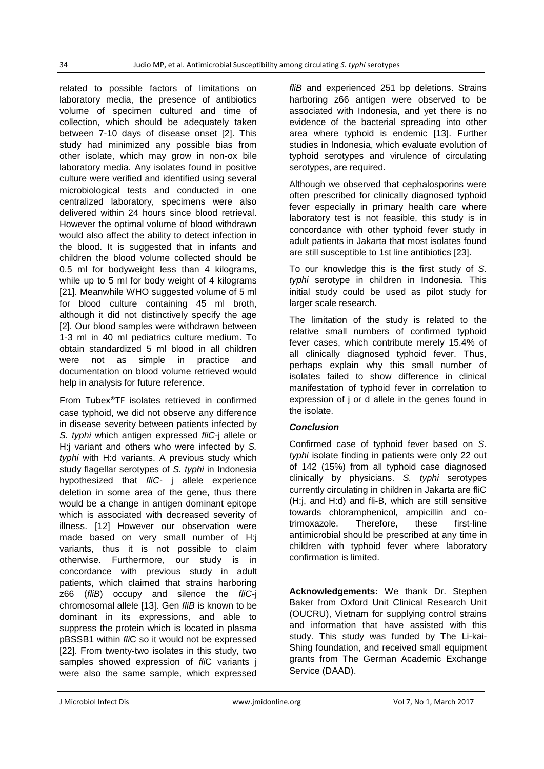related to possible factors of limitations on laboratory media, the presence of antibiotics volume of specimen cultured and time of collection, which should be adequately taken between 7-10 days of disease onset [2]. This study had minimized any possible bias from other isolate, which may grow in non-ox bile laboratory media. Any isolates found in positive culture were verified and identified using several microbiological tests and conducted in one centralized laboratory, specimens were also delivered within 24 hours since blood retrieval. However the optimal volume of blood withdrawn would also affect the ability to detect infection in the blood. It is suggested that in infants and children the blood volume collected should be 0.5 ml for bodyweight less than 4 kilograms, while up to 5 ml for body weight of 4 kilograms [21]. Meanwhile WHO suggested volume of 5 ml for blood culture containing 45 ml broth, although it did not distinctively specify the age [2]. Our blood samples were withdrawn between 1-3 ml in 40 ml pediatrics culture medium. To obtain standardized 5 ml blood in all children were not as simple in practice and documentation on blood volume retrieved would help in analysis for future reference.

From Tubex®TF isolates retrieved in confirmed case typhoid, we did not observe any difference in disease severity between patients infected by *S. typhi* which antigen expressed *fliC-*j allele or H:j variant and others who were infected by *S. typhi* with H:d variants. A previous study which study flagellar serotypes of *S. typhi* in Indonesia hypothesized that *fliC-* j allele experience deletion in some area of the gene, thus there would be a change in antigen dominant epitope which is associated with decreased severity of illness. [12] However our observation were made based on very small number of H:j variants, thus it is not possible to claim otherwise. Furthermore, our study is in concordance with previous study in adult patients, which claimed that strains harboring z66 (*fliB*) occupy and silence the *fliC-*j chromosomal allele [13]. Gen *fliB* is known to be dominant in its expressions, and able to suppress the protein which is located in plasma pBSSB1 within *fli*C so it would not be expressed [22]. From twenty-two isolates in this study, two samples showed expression of *fli*C variants j were also the same sample, which expressed

*fliB* and experienced 251 bp deletions. Strains harboring z66 antigen were observed to be associated with Indonesia, and yet there is no evidence of the bacterial spreading into other area where typhoid is endemic [13]. Further studies in Indonesia, which evaluate evolution of typhoid serotypes and virulence of circulating serotypes, are required.

Although we observed that cephalosporins were often prescribed for clinically diagnosed typhoid fever especially in primary health care where laboratory test is not feasible, this study is in concordance with other typhoid fever study in adult patients in Jakarta that most isolates found are still susceptible to 1st line antibiotics [23].

To our knowledge this is the first study of *S. typhi* serotype in children in Indonesia. This initial study could be used as pilot study for larger scale research.

The limitation of the study is related to the relative small numbers of confirmed typhoid fever cases, which contribute merely 15.4% of all clinically diagnosed typhoid fever. Thus, perhaps explain why this small number of isolates failed to show difference in clinical manifestation of typhoid fever in correlation to expression of j or d allele in the genes found in the isolate.

### *Conclusion*

Confirmed case of typhoid fever based on *S. typhi* isolate finding in patients were only 22 out of 142 (15%) from all typhoid case diagnosed clinically by physicians. *S. typhi* serotypes currently circulating in children in Jakarta are fliC (H:j, and H:d) and fli-B, which are still sensitive towards chloramphenicol, ampicillin and cotrimoxazole. Therefore, these first-line antimicrobial should be prescribed at any time in children with typhoid fever where laboratory confirmation is limited.

**Acknowledgements:** We thank Dr. Stephen Baker from Oxford Unit Clinical Research Unit (OUCRU), Vietnam for supplying control strains and information that have assisted with this study. This study was funded by The Li-kai-Shing foundation, and received small equipment grants from The German Academic Exchange Service (DAAD).